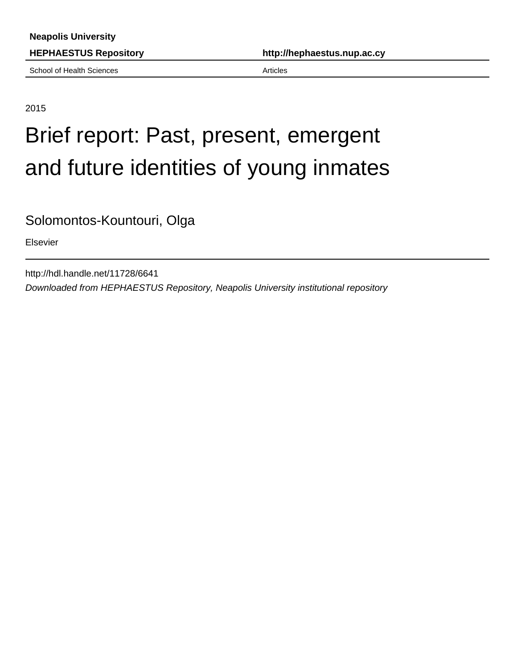School of Health Sciences **Articles** Articles

**HEPHAESTUS Repository http://hephaestus.nup.ac.cy**

### 2015

# Brief report: Past, present, emergent and future identities of young inmates

Solomontos-Kountouri, Olga

Elsevier

http://hdl.handle.net/11728/6641 Downloaded from HEPHAESTUS Repository, Neapolis University institutional repository